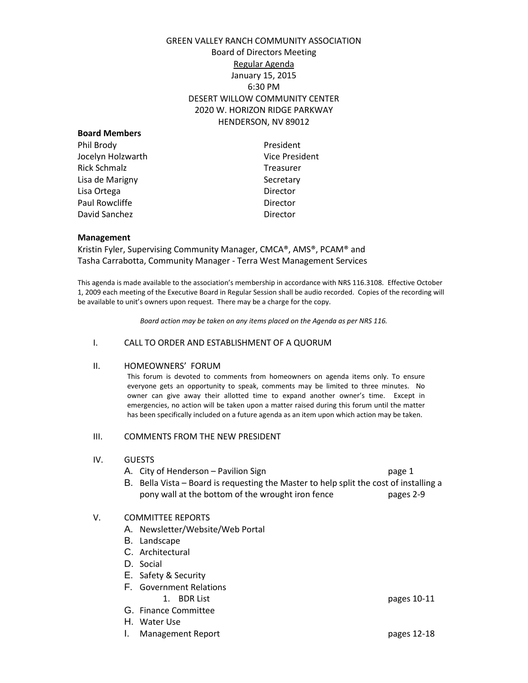# GREEN VALLEY RANCH COMMUNITY ASSOCIATION Board of Directors Meeting Regular Agenda January 15, 2015 6:30 PM DESERT WILLOW COMMUNITY CENTER 2020 W. HORIZON RIDGE PARKWAY HENDERSON, NV 89012

| <b>Board Members</b> |                       |
|----------------------|-----------------------|
| Phil Brody           | President             |
| Jocelyn Holzwarth    | <b>Vice President</b> |
| Rick Schmalz         | <b>Treasurer</b>      |
| Lisa de Marigny      | Secretary             |
| Lisa Ortega          | Director              |
| Paul Rowcliffe       | Director              |
| David Sanchez        | Director              |
|                      |                       |

### **Management**

Kristin Fyler, Supervising Community Manager, CMCA®, AMS®, PCAM® and Tasha Carrabotta, Community Manager - Terra West Management Services

This agenda is made available to the association's membership in accordance with NRS 116.3108. Effective October 1, 2009 each meeting of the Executive Board in Regular Session shall be audio recorded. Copies of the recording will be available to unit's owners upon request. There may be a charge for the copy.

*Board action may be taken on any items placed on the Agenda as per NRS 116.*

### I. CALL TO ORDER AND ESTABLISHMENT OF A QUORUM

#### II. HOMEOWNERS' FORUM

This forum is devoted to comments from homeowners on agenda items only. To ensure everyone gets an opportunity to speak, comments may be limited to three minutes. No owner can give away their allotted time to expand another owner's time. Except in emergencies, no action will be taken upon a matter raised during this forum until the matter has been specifically included on a future agenda as an item upon which action may be taken.

### III. COMMENTS FROM THE NEW PRESIDENT

### IV. GUESTS

- A. City of Henderson Pavilion Sign page 1
- B. Bella Vista Board is requesting the Master to help split the cost of installing a pony wall at the bottom of the wrought iron fence pages 2-9

### V. COMMITTEE REPORTS

- A. Newsletter/Website/Web Portal
- B. Landscape
- C. Architectural
- D. Social
- E. Safety & Security
- F. Government Relations
- G. Finance Committee
- 
- H. Water Use
- I. Management Report pages 12-18

1. BDR List pages 10-11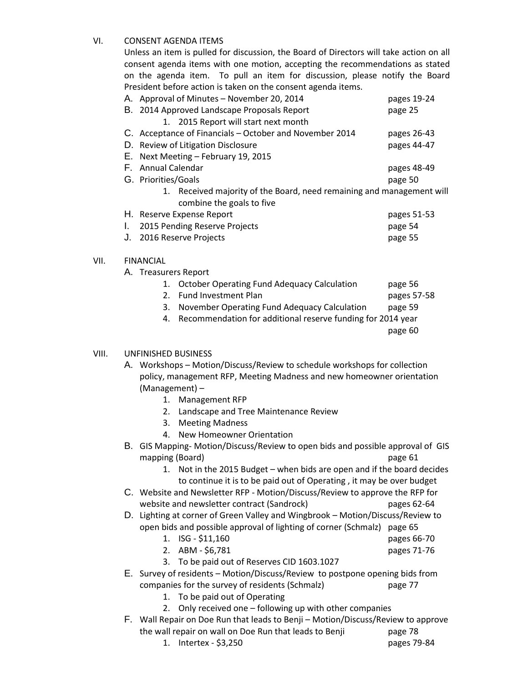# VI. CONSENT AGENDA ITEMS

Unless an item is pulled for discussion, the Board of Directors will take action on all consent agenda items with one motion, accepting the recommendations as stated on the agenda item. To pull an item for discussion, please notify the Board President before action is taken on the consent agenda items.

|                  | A. Approval of Minutes - November 20, 2014                            | pages 19-24 |  |  |  |
|------------------|-----------------------------------------------------------------------|-------------|--|--|--|
| В.               | 2014 Approved Landscape Proposals Report                              | page 25     |  |  |  |
|                  | 1. 2015 Report will start next month                                  |             |  |  |  |
|                  | C. Acceptance of Financials – October and November 2014               | pages 26-43 |  |  |  |
|                  | D. Review of Litigation Disclosure                                    | pages 44-47 |  |  |  |
| Е.               | Next Meeting - February 19, 2015                                      |             |  |  |  |
|                  | F. Annual Calendar                                                    | pages 48-49 |  |  |  |
|                  | G. Priorities/Goals                                                   | page 50     |  |  |  |
|                  | 1. Received majority of the Board, need remaining and management will |             |  |  |  |
|                  | combine the goals to five                                             |             |  |  |  |
|                  | H. Reserve Expense Report                                             | pages 51-53 |  |  |  |
| I.               | 2015 Pending Reserve Projects                                         | page 54     |  |  |  |
| J.               | 2016 Reserve Projects                                                 | page 55     |  |  |  |
|                  |                                                                       |             |  |  |  |
| <b>FINANCIAL</b> |                                                                       |             |  |  |  |

A. Treasurers Report

VII.

| 1. October Operating Fund Adequacy Calculation                 | page 56     |
|----------------------------------------------------------------|-------------|
| 2. Fund Investment Plan                                        | pages 57-58 |
| 3. November Operating Fund Adequacy Calculation                | page 59     |
| 4. Recommendation for additional reserve funding for 2014 year |             |
|                                                                | page 60     |

## VIII. UNFINISHED BUSINESS

A. Workshops – Motion/Discuss/Review to schedule workshops for collection policy, management RFP, Meeting Madness and new homeowner orientation (Management) –

- 1. Management RFP
- 2. Landscape and Tree Maintenance Review
- 3. Meeting Madness
- 4. New Homeowner Orientation
- B. GIS Mapping- Motion/Discuss/Review to open bids and possible approval of GIS mapping (Board) and the contract of the contract of the page 61
	- 1. Not in the 2015 Budget when bids are open and if the board decides to continue it is to be paid out of Operating , it may be over budget
- C. Website and Newsletter RFP Motion/Discuss/Review to approve the RFP for website and newsletter contract (Sandrock) pages 62-64
- D. Lighting at corner of Green Valley and Wingbrook Motion/Discuss/Review to open bids and possible approval of lighting of corner (Schmalz) page 65
	- 1. ISG \$11,160 pages 66-70
	- 2. ABM \$6,781 pages 71-76
	- 3. To be paid out of Reserves CID 1603.1027
- E. Survey of residents Motion/Discuss/Review to postpone opening bids from companies for the survey of residents (Schmalz) page 77
	- 1. To be paid out of Operating
	- 2. Only received one following up with other companies
- F. Wall Repair on Doe Run that leads to Benji Motion/Discuss/Review to approve the wall repair on wall on Doe Run that leads to Benji page 78
	- 1. Intertex \$3,250 pages 79-84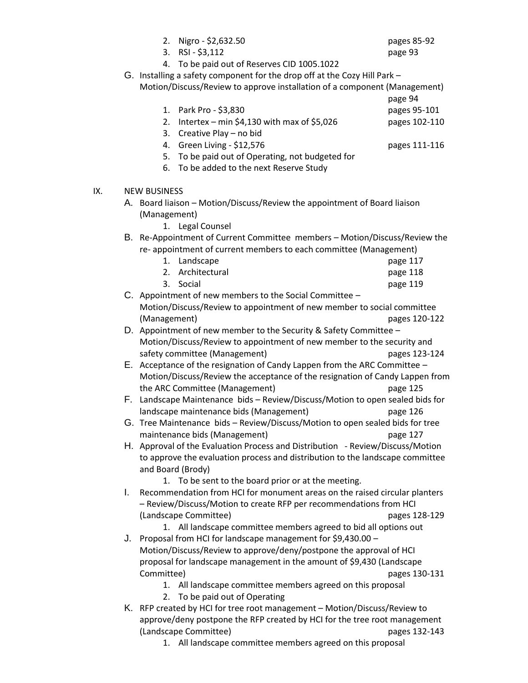|     |    | 2. Nigro - \$2,632.50<br>RSI - \$3,112<br>3.                                   | pages 85-92<br>page 93 |  |
|-----|----|--------------------------------------------------------------------------------|------------------------|--|
|     |    | To be paid out of Reserves CID 1005.1022<br>4.                                 |                        |  |
|     |    | G. Installing a safety component for the drop off at the Cozy Hill Park -      |                        |  |
|     |    | Motion/Discuss/Review to approve installation of a component (Management)      |                        |  |
|     |    |                                                                                | page 94                |  |
|     |    | 1. Park Pro - \$3,830                                                          | pages 95-101           |  |
|     |    | Intertex – min \$4,130 with max of \$5,026<br>2.                               | pages 102-110          |  |
|     |    | Creative Play - no bid<br>3.                                                   |                        |  |
|     |    | Green Living - \$12,576<br>4.                                                  | pages 111-116          |  |
|     |    | To be paid out of Operating, not budgeted for<br>5.                            |                        |  |
|     |    | To be added to the next Reserve Study<br>6.                                    |                        |  |
|     |    |                                                                                |                        |  |
| IX. |    | <b>NEW BUSINESS</b>                                                            |                        |  |
|     |    | A. Board liaison - Motion/Discuss/Review the appointment of Board liaison      |                        |  |
|     |    | (Management)                                                                   |                        |  |
|     |    | 1. Legal Counsel                                                               |                        |  |
|     |    | B. Re-Appointment of Current Committee members - Motion/Discuss/Review the     |                        |  |
|     |    | re-appointment of current members to each committee (Management)               |                        |  |
|     |    | Landscape<br>1.                                                                | page 117               |  |
|     |    | 2. Architectural                                                               | page 118               |  |
|     |    | 3.<br>Social                                                                   | page 119               |  |
|     |    | C. Appointment of new members to the Social Committee $-$                      |                        |  |
|     |    | Motion/Discuss/Review to appointment of new member to social committee         |                        |  |
|     |    | (Management)                                                                   | pages 120-122          |  |
|     |    | D. Appointment of new member to the Security & Safety Committee -              |                        |  |
|     |    | Motion/Discuss/Review to appointment of new member to the security and         |                        |  |
|     |    | safety committee (Management)                                                  | pages 123-124          |  |
|     |    | E. Acceptance of the resignation of Candy Lappen from the ARC Committee -      |                        |  |
|     |    | Motion/Discuss/Review the acceptance of the resignation of Candy Lappen from   |                        |  |
|     |    | the ARC Committee (Management)                                                 | page 125               |  |
|     |    | F. Landscape Maintenance bids - Review/Discuss/Motion to open sealed bids for  |                        |  |
|     |    | landscape maintenance bids (Management)                                        | page 126               |  |
|     |    | G. Tree Maintenance bids - Review/Discuss/Motion to open sealed bids for tree  |                        |  |
|     |    | maintenance bids (Management)                                                  | page 127               |  |
|     |    | H. Approval of the Evaluation Process and Distribution - Review/Discuss/Motion |                        |  |
|     |    | to approve the evaluation process and distribution to the landscape committee  |                        |  |
|     |    | and Board (Brody)                                                              |                        |  |
|     |    | 1. To be sent to the board prior or at the meeting.                            |                        |  |
|     | I. | Recommendation from HCI for monument areas on the raised circular planters     |                        |  |
|     |    | - Review/Discuss/Motion to create RFP per recommendations from HCI             |                        |  |
|     |    | (Landscape Committee)                                                          | pages 128-129          |  |
|     |    | 1. All landscape committee members agreed to bid all options out               |                        |  |
|     |    | J. Proposal from HCI for landscape management for \$9,430.00 -                 |                        |  |
|     |    | Motion/Discuss/Review to approve/deny/postpone the approval of HCI             |                        |  |
|     |    | proposal for landscape management in the amount of \$9,430 (Landscape          |                        |  |
|     |    | Committee)                                                                     | pages 130-131          |  |
|     |    | 1. All landscape committee members agreed on this proposal                     |                        |  |
|     |    | To be paid out of Operating<br>2.                                              |                        |  |
|     |    | K. RFP created by HCI for tree root management - Motion/Discuss/Review to      |                        |  |
|     |    | approve/deny postpone the RFP created by HCI for the tree root management      |                        |  |
|     |    | (Landscape Committee)                                                          | pages 132-143          |  |

1. All landscape committee members agreed on this proposal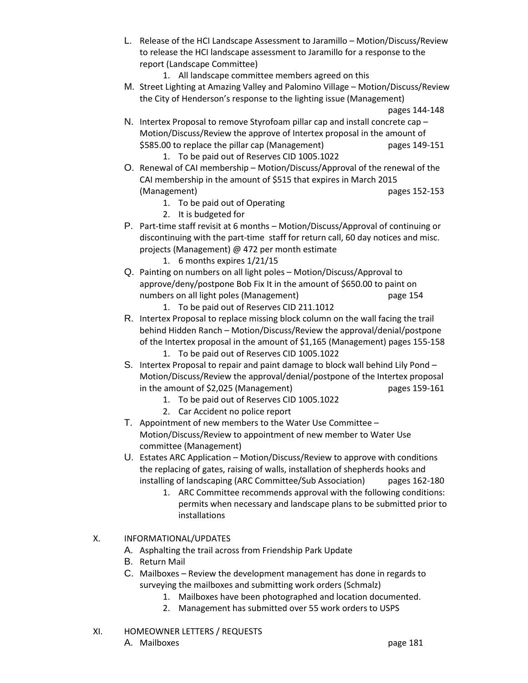- L. Release of the HCI Landscape Assessment to Jaramillo Motion/Discuss/Review to release the HCI landscape assessment to Jaramillo for a response to the report (Landscape Committee)
	- 1. All landscape committee members agreed on this
- M. Street Lighting at Amazing Valley and Palomino Village Motion/Discuss/Review the City of Henderson's response to the lighting issue (Management)

pages 144-148

- N. Intertex Proposal to remove Styrofoam pillar cap and install concrete cap Motion/Discuss/Review the approve of Intertex proposal in the amount of \$585.00 to replace the pillar cap (Management) pages 149-151 1. To be paid out of Reserves CID 1005.1022
- O. Renewal of CAI membership Motion/Discuss/Approval of the renewal of the CAI membership in the amount of \$515 that expires in March 2015 (Management) pages 152-153
	- 1. To be paid out of Operating
	- 2. It is budgeted for
- P. Part-time staff revisit at 6 months Motion/Discuss/Approval of continuing or discontinuing with the part-time staff for return call, 60 day notices and misc. projects (Management) @ 472 per month estimate
	- 1. 6 months expires 1/21/15
- Q. Painting on numbers on all light poles Motion/Discuss/Approval to approve/deny/postpone Bob Fix It in the amount of \$650.00 to paint on numbers on all light poles (Management) example the page 154
	- 1. To be paid out of Reserves CID 211.1012
- R. Intertex Proposal to replace missing block column on the wall facing the trail behind Hidden Ranch – Motion/Discuss/Review the approval/denial/postpone of the Intertex proposal in the amount of \$1,165 (Management) pages 155-158 1. To be paid out of Reserves CID 1005.1022
- S. Intertex Proposal to repair and paint damage to block wall behind Lily Pond Motion/Discuss/Review the approval/denial/postpone of the Intertex proposal in the amount of \$2,025 (Management) pages 159-161
	- 1. To be paid out of Reserves CID 1005.1022
	- 2. Car Accident no police report
- T. Appointment of new members to the Water Use Committee Motion/Discuss/Review to appointment of new member to Water Use committee (Management)
- U. Estates ARC Application Motion/Discuss/Review to approve with conditions the replacing of gates, raising of walls, installation of shepherds hooks and installing of landscaping (ARC Committee/Sub Association) pages 162-180
	- 1. ARC Committee recommends approval with the following conditions: permits when necessary and landscape plans to be submitted prior to installations
- X. INFORMATIONAL/UPDATES
	- A. Asphalting the trail across from Friendship Park Update
	- B. Return Mail
	- C. Mailboxes Review the development management has done in regards to surveying the mailboxes and submitting work orders (Schmalz)
		- 1. Mailboxes have been photographed and location documented.
		- 2. Management has submitted over 55 work orders to USPS
- XI. HOMEOWNER LETTERS / REQUESTS A. Mailboxes **page 181**